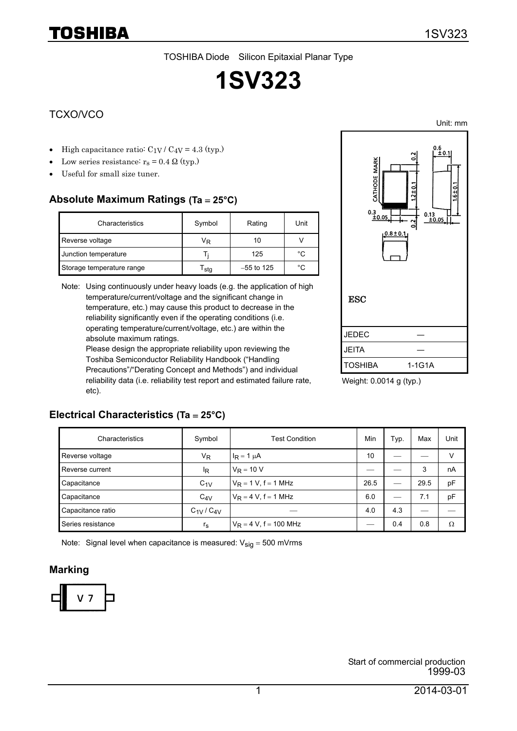# **1SV323**

### TCXO/VCO

TOSHIBA

- High capacitance ratio:  $C_{1V}$  /  $C_{4V}$  = 4.3 (typ.)
- Low series resistance:  $r_s = 0.4 \Omega$  (typ.)
- Useful for small size tuner.

## **Absolute Maximum Ratings (Ta** = **25°C)**

| Characteristics           | Symbol | Rating       | Unit |
|---------------------------|--------|--------------|------|
| Reverse voltage           | Vĸ     | 10           |      |
| Junction temperature      |        | 125          | °C   |
| Storage temperature range | i sta  | $-55$ to 125 | °C.  |

Note: Using continuously under heavy loads (e.g. the application of high temperature/current/voltage and the significant change in temperature, etc.) may cause this product to decrease in the reliability significantly even if the operating conditions (i.e. operating temperature/current/voltage, etc.) are within the absolute maximum ratings.

Please design the appropriate reliability upon reviewing the Toshiba Semiconductor Reliability Handbook ("Handling Precautions"/"Derating Concept and Methods") and individual reliability data (i.e. reliability test report and estimated failure rate, etc).



Weight: 0.0014 g (typ.)

#### **Electrical Characteristics (Ta** = **25°C)**

| Characteristics   | Symbol          | <b>Test Condition</b>     | Min  | Typ. | Max  | Unit |
|-------------------|-----------------|---------------------------|------|------|------|------|
| Reverse voltage   | V <sub>R</sub>  | $I_R = 1 \mu A$           | 10   |      |      | v    |
| Reverse current   | <sup>I</sup> R  | $V_R = 10 V$              |      |      | 3    | nA   |
| Capacitance       | $C_{1V}$        | $V_R = 1 V$ , f = 1 MHz   | 26.5 | --   | 29.5 | pF   |
| Capacitance       | $C_{4V}$        | $V_R = 4 V$ , f = 1 MHz   | 6.0  |      | 7.1  | pF   |
| Capacitance ratio | $C_{1V}/C_{4V}$ |                           | 4.0  | 4.3  |      |      |
| Series resistance | $r_{\rm s}$     | $V_R = 4 V$ , f = 100 MHz |      | 0.4  | 0.8  | Ω    |

Note: Signal level when capacitance is measured:  $V_{sig} = 500$  mVrms

#### **Marking**



Unit: mm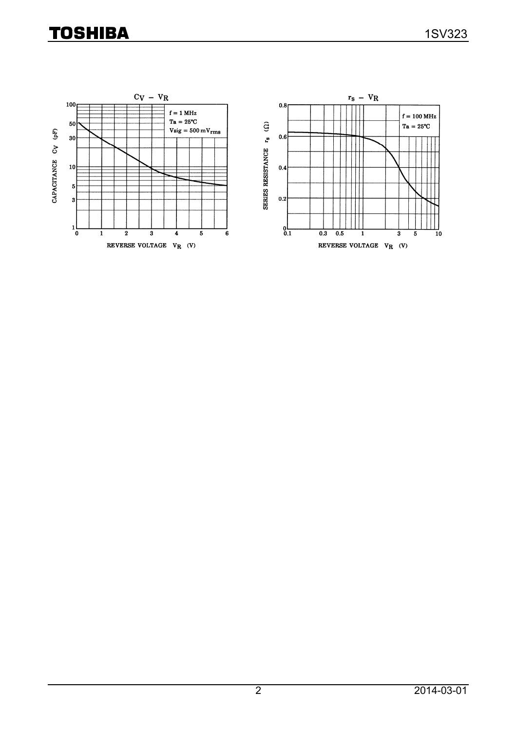